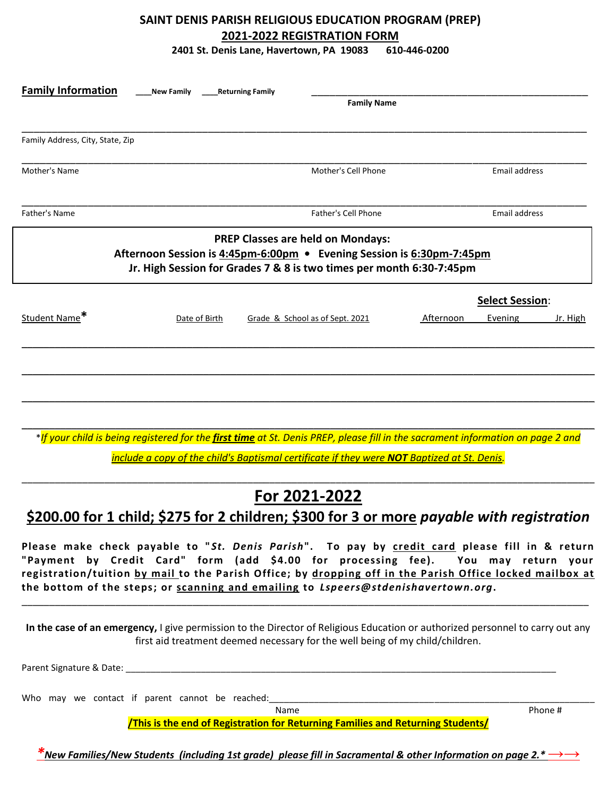## **SAINT DENIS PARISH RELIGIOUS EDUCATION PROGRAM (PREP) 2021-2022 REGISTRATION FORM**

**2401 St. Denis Lane, Havertown, PA 19083 610-446-0200**

| <b>Family Information</b>        | <b>New Family</b>                                                                                                                             | <b>Returning Family</b> | <b>Family Name</b>                       |           |                        |          |
|----------------------------------|-----------------------------------------------------------------------------------------------------------------------------------------------|-------------------------|------------------------------------------|-----------|------------------------|----------|
|                                  |                                                                                                                                               |                         |                                          |           |                        |          |
| Family Address, City, State, Zip |                                                                                                                                               |                         |                                          |           |                        |          |
| Mother's Name                    |                                                                                                                                               |                         | Mother's Cell Phone                      |           | Email address          |          |
| Father's Name                    |                                                                                                                                               |                         | Father's Cell Phone                      |           | <b>Email address</b>   |          |
|                                  | Afternoon Session is 4:45pm-6:00pm • Evening Session is 6:30pm-7:45pm<br>Jr. High Session for Grades 7 & 8 is two times per month 6:30-7:45pm |                         | <b>PREP Classes are held on Mondays:</b> |           |                        |          |
|                                  |                                                                                                                                               |                         |                                          |           | <b>Select Session:</b> |          |
| Student Name*                    | Date of Birth                                                                                                                                 |                         | Grade & School as of Sept. 2021          | Afternoon | Evening                | Jr. High |
|                                  |                                                                                                                                               |                         |                                          |           |                        |          |
|                                  |                                                                                                                                               |                         |                                          |           |                        |          |
|                                  |                                                                                                                                               |                         |                                          |           |                        |          |
|                                  | *If your child is being registered for the first time at St. Denis PREP, please fill in the sacrament information on page 2 and               |                         |                                          |           |                        |          |
|                                  | include a copy of the child's Baptismal certificate if they were NOT Baptized at St. Denis.                                                   |                         |                                          |           |                        |          |

## \_\_\_\_\_\_\_\_\_\_\_\_\_\_\_\_\_\_\_\_\_\_\_\_\_\_\_\_\_\_\_\_\_\_\_\_\_\_\_\_\_\_\_\_\_\_\_\_\_\_\_\_\_\_\_\_\_\_\_\_\_\_\_\_\_\_\_\_\_\_\_\_\_\_\_\_\_\_\_\_\_\_\_\_\_\_\_\_\_\_\_\_\_\_\_\_\_\_\_\_\_\_\_\_ **For 2021-2022**

**\$200.00 for 1 child; \$275 for 2 children; \$300 for 3 or more** *payable with registration*

**Please make check payable to "***St. Denis Parish***". To pay by credit card please fill in & return "Payment by Credit Card" form (add \$4.00 for processing fee). You may return your registration/tuition by mail to the Parish Office; by dropping off in the Parish Office locked mailbox at the bottom of the steps; or scanning and emailing to** *Lspeers@stdenishavertown.org***.**

**In the case of an emergency,** I give permission to the Director of Religious Education or authorized personnel to carry out any first aid treatment deemed necessary for the well being of my child/children.

\_\_\_\_\_\_\_\_\_\_\_\_\_\_\_\_\_\_\_\_\_\_\_\_\_\_\_\_\_\_\_\_\_\_\_\_\_\_\_\_\_\_\_\_\_\_\_\_\_\_\_\_\_\_\_\_\_\_\_\_\_\_\_\_\_\_\_\_\_\_\_\_\_\_\_\_\_\_\_\_\_\_\_\_\_\_\_\_\_\_\_\_\_\_\_\_\_\_\_\_\_\_\_

Parent Signature & Date:

Who may we contact if parent cannot be reached:

Name Phone #

**/This is the end of Registration for Returning Families and Returning Students/**

*\*New Families/New Students (including 1st grade) please fill in Sacramental & other Information on page 2.\*→→*